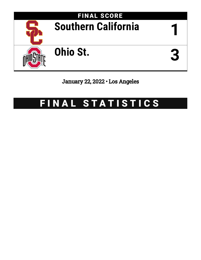

# January 22, 2022 • Los Angeles

# FINAL STATISTICS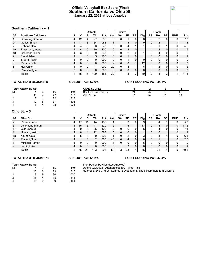## **Official Volleyball Box Score (Final) Southern California vs Ohio St. January 22, 2022 at Los Angeles**



## **Southern California -- 1**

|    | <b>JUULIIGIII VAIIIUIIIIA -- I</b> |   |          |    |               |      |                |              |                 |                |                 |    |                |           |              |                |
|----|------------------------------------|---|----------|----|---------------|------|----------------|--------------|-----------------|----------------|-----------------|----|----------------|-----------|--------------|----------------|
|    |                                    |   |          |    | <b>Attack</b> |      |                | <b>Serve</b> |                 |                |                 |    | <b>Block</b>   |           |              |                |
| ## | <b>Southern California</b>         | s | Κ        | Е  | TA            | Pct  | Ast            | SA           | <b>SE</b>       | <b>RE</b>      | Dig             | BS | <b>BA</b>      | <b>BE</b> | <b>BHE</b>   | <b>Pts</b>     |
|    | Browning, Brandon                  | 4 | 12       | 4  | 27            | .296 |                | $\Omega$     |                 | 0              | 8               |    | າ              |           |              | 13             |
| 24 | Gallas, Simon                      | 4 | 11       | 8  | 34            | .088 |                |              | 3               | 0              | 9               | 0  | $\overline{2}$ |           |              | 13             |
|    | Kobrine, Sam                       | 4 | 4        | 3  | 23            | .043 |                | 0            |                 |                |                 |    |                |           | 0            | 4.5            |
| 19 | Frassrand, Lucas                   | 4 |          | 0  | 10            | .400 | $\overline{0}$ | 0            | $\overline{2}$  | 0              |                 |    | $\overline{2}$ | 0         | $\mathbf{0}$ | 6              |
| 18 | Schroeder, Liam                    | 4 | 3        | 0  | 9             | .333 | <sup>0</sup>   | $\Omega$     | ◠               | 0              |                 |    | 4              |           | 0            | 5              |
| 21 | Flood, Adam                        |   |          | 0  | 5             | .200 | 0 <sub>1</sub> | 0            |                 | 0              |                 |    | $\Omega$       | 0         | 0            |                |
|    | Stuard, Austin                     | 4 |          | 0  |               | .000 | 0              | 0            |                 | 0              | 0               |    | $\Omega$       |           | 0            | 0              |
| 3  | Paxson, Cole                       | 4 |          | 0  | $\Omega$      | .000 | 2              | 0            | 0               |                | 12 <sub>1</sub> |    | 0              | 0         | 0            | 0              |
| 6  | Hall, Chris                        | 4 |          | 0  |               | .000 | 29             | $\Omega$     |                 |                | 6               |    | C              | 0         | 0            | $\mathfrak{p}$ |
| 8  | Paulson, Kyle                      | 3 | $\Omega$ | 0  | 0             | .000 | $\Omega$       | 0            | $\Omega$        | 0              | 0 <sub>1</sub>  |    | $\Omega$       | 0         | 0            | 0              |
|    | Totals                             | 4 | 35       | 15 | 109           | .183 | 32             |              | 18 <sub>1</sub> | 3 <sub>1</sub> | 39              | 2  | 13             | ົ         |              | 44.5           |

#### **TOTAL TEAM BLOCKS: 8 SIDEOUT PCT: 62.6% POINT SCORING PCT: 34.8%**

|        | <b>Team Attack By Set</b> |           |      | <b>GAME SCORES</b>      |    |    |    |                           |
|--------|---------------------------|-----------|------|-------------------------|----|----|----|---------------------------|
| Set    |                           | TA        | Pct  | Southern California (1) | 24 | 25 | 18 | $\mathbf{A}$<br><u> 4</u> |
|        |                           | 22        | .318 | Ohio St. (3)            | 26 | 16 | 25 | 25                        |
| ົ<br>∠ |                           | 22        | .318 |                         |    |    |    |                           |
| 3      |                           | 27<br>, ت | .108 |                         |    |    |    |                           |
| 4      |                           | 28        | .071 |                         |    |    |    |                           |

#### **Ohio St. -- 3**

|                 | ט -- <sub>י</sub> וט טוווט |   |    |    |                |                   |     |           |           |                |                |    |              |           |            |            |
|-----------------|----------------------------|---|----|----|----------------|-------------------|-----|-----------|-----------|----------------|----------------|----|--------------|-----------|------------|------------|
|                 |                            |   |    |    | <b>Attack</b>  |                   |     | Serve     |           |                |                |    | <b>Block</b> |           |            |            |
| ##              | Ohio St.                   | s | κ  | Е  | TA             | Pct               | Ast | <b>SA</b> | <b>SE</b> | <b>RE</b>      | Dig            | BS | <b>BA</b>    | <b>BE</b> | <b>BHE</b> | <b>Pts</b> |
|                 | Pasteur, Jacob             | 4 |    |    | 44             | .136              |     |           |           | 0              |                |    | 4            |           |            | 20         |
| 6               | Lallemand, Martin          | 4 | 15 | 6  | 41             | .220              | ົ   |           | 5         |                | 13             |    | 3            | 0         | 0          | 17.5       |
| 17              | Clark, Samuel              | 4 | 9  | 6  | 25             | .120              | 2   | 0         | 6         | $\mathbf{0}$   | 6              |    | 4            | 0         |            | 11         |
| 11              | Howard, Justin             | 4 |    |    | 12             | .583              | 0   | 0         |           | 0              |                |    | 6            |           | 0          | 11         |
| 18              | Young, Cole                | 4 | 5  | 3  | 9              | .222              |     | 0         | ົ         | $\overline{0}$ | 3              |    | 3            |           | 0          | 6.5        |
| $5\overline{)}$ | Platfoot, Noah             | 4 |    |    | $\mathfrak{p}$ | .000              | 40  | 0         |           | $\Omega$       | 8 <sub>1</sub> |    |              |           | 0          | 2.5        |
| 3               | Mikesch, Parker            | 4 |    |    |                | .000              | 4   | 0         |           | $\mathbf{0}$   | 5              |    | 0            |           | 0          | 0          |
| 9               | Lentin, Luke               | 4 |    | 0  | 0              | .000 <sub>1</sub> | 0   |           | 3         | $\overline{0}$ | 0              |    | 0            | 0         | 0          |            |
|                 | Totals                     | 4 | 55 | 28 | 133            | .203              | 50  | 3         | 23        |                | 45             |    | 21           |           | 0          | 69.5       |

#### **TOTAL TEAM BLOCKS: 10 SIDEOUT PCT: 65.2% POINT SCORING PCT: 37.4%**

#### **Team Attack By Set**

| Set            |    |   | TA | Pct  |
|----------------|----|---|----|------|
| $\overline{1}$ | 16 | 6 | 29 | .345 |
| $\overline{2}$ | 9  | 9 | 30 | .000 |
| 3              | 15 |   | 35 | .314 |
| 4              | 15 | 9 | 39 | .154 |

## Site: Pauley Pavilion (Los Angeles) Date:01/22/2022 - Attendance: 400 - Time: 1:51

Referees: Syd Church; Kenneth Boyd; John Michael Plummer; Tom Ulibarri;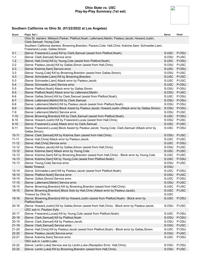#### **Ohio State vs. USC Play-by-Play Summary (1st set)**



| Score     | Plays: Set 1                                                                                                                                  | Serve | Point |
|-----------|-----------------------------------------------------------------------------------------------------------------------------------------------|-------|-------|
|           | Ohio St. starters: Mikesch, Parker; Platfoot, Noah; Lallemand, Martin; Pasteur, Jacob; Howard, Justin;<br>Clark, Samuel; Young, Cole          |       |       |
|           | Southern California starters: Browning, Brandon; Paxson, Cole; Hall, Chris; Kobrine, Sam; Schroeder, Liam;<br>Frassrand, Lucas; Gallas, Simon |       |       |
| $0 - 1$   | [Serve: Frassrand, Lucas] Kill by Clark, Samuel (assist from Platfoot, Noah).                                                                 | S:USC | P:OSU |
| $1 - 1$   | [Serve: Clark, Samuel] Service error.                                                                                                         | S:OSU | P:USC |
| $1 - 2$   | [Serve: Hall, Chris] Kill by Young, Cole (assist from Platfoot, Noah).                                                                        | S:USC | P:OSU |
| $2 - 2$   | [Serve: Pasteur, Jacob] Kill by Gallas, Simon (assist from Hall, Chris).                                                                      | S:OSU | P:USC |
| $2 - 3$   | [Serve: Kobrine, Sam] Service error.                                                                                                          | S:USC | P:OSU |
| $3 - 3$   | [Serve: Young, Cole] Kill by Browning, Brandon (assist from Gallas, Simon).                                                                   | S:OSU | P:USC |
| $4 - 3$   | [Serve: Schroeder, Liam] Kill by Browning, Brandon.                                                                                           | S:USC | P:USC |
| $5-3$     | [Serve: Schroeder, Liam] Attack error by Pasteur, Jacob.                                                                                      | S:USC | P:USC |
| $5-4$     | [Serve: Schroeder, Liam] Service error.                                                                                                       | S:USC | P:OSU |
| $5-5$     | [Serve: Platfoot, Noah] Attack error by Gallas, Simon.                                                                                        | S:OSU | P:OSU |
| $6-5$     | [Serve: Platfoot, Noah] Attack error by Lallemand, Martin.                                                                                    | S:OSU | P:USC |
| $6-6$     | [Serve: Gallas, Simon] Kill by Clark, Samuel (assist from Platfoot, Noah).                                                                    | S:USC | P:OSU |
| $6 - 7$   | [Serve: Lallemand, Martin] Kill by Clark, Samuel.                                                                                             | S:OSU | P:OSU |
| $6-8$     | [Serve: Lallemand, Martin] Kill by Pasteur, Jacob (assist from Platfoot, Noah).                                                               | S:OSU | P:OSU |
| $6-9$     | [Serve: Lallemand, Martin] Block Assist by Pasteur, Jacob; Howard, Justin (Attack error by Gallas, Simon).                                    | S:OSU | P:OSU |
| $7-9$     | [Serve: Lallemand, Martin] Service error.                                                                                                     | S:OSU | P:USC |
| $7 - 10$  | [Serve: Browning, Brandon] Kill by Clark, Samuel (assist from Platfoot, Noah).                                                                | S:USC | P:OSU |
| $8 - 10$  | [Serve: Howard, Justin] Kill by Frassrand, Lucas (assist from Hall, Chris).                                                                   | S:OSU | P:USC |
| $9 - 10$  | [Serve: Frassrand, Lucas] Attack error by Clark, Samuel.                                                                                      | S:USC | P:USC |
| $9 - 11$  | [Serve: Frassrand, Lucas] Block Assist by Pasteur, Jacob; Young, Cole; Clark, Samuel (Attack error by<br>Gallas, Simon).                      | S:USC | P:OSU |
| $10 - 11$ | [Serve: Clark, Samuel] Kill by Kobrine, Sam (assist from Hall, Chris).                                                                        | S:OSU | P:USC |
| $11 - 11$ | [Serve: Hall, Chris] Attack error by Pasteur, Jacob.                                                                                          | S:USC | P:USC |
| $11 - 12$ | [Serve: Hall, Chris] Service error.                                                                                                           | S:USC | P:OSU |
| $12 - 12$ | [Serve: Pasteur, Jacob] Kill by Gallas, Simon (assist from Hall, Chris).                                                                      | S:OSU | P:USC |
| $13 - 12$ | [Serve: Kobrine, Sam] Attack error by Young, Cole.                                                                                            | S:USC | P:USC |
| $14 - 12$ | [Serve: Kobrine, Sam] Kill by Browning, Brandon (assist from Hall, Chris) - Block error by Young, Cole.                                       | S:USC | P:USC |
| $14 - 13$ | [Serve: Kobrine, Sam] Kill by Young, Cole (assist from Platfoot, Noah).                                                                       | S:USC | P:OSU |
| $15 - 13$ | [Serve: Young, Cole] Service error.                                                                                                           | S:OSU | P:USC |
|           | Media Timeout.                                                                                                                                | S:OSU |       |
| $15 - 14$ | [Serve: Schroeder, Liam] Kill by Pasteur, Jacob (assist from Platfoot, Noah).                                                                 | S:USC | P:OSU |
| $16 - 14$ | [Serve: Platfoot, Noah] Service error.                                                                                                        | S:OSU | P:USC |
| $16 - 15$ | [Serve: Gallas, Simon] Service error.                                                                                                         | S:USC | P:OSU |
| $17 - 15$ | [Serve: Lallemand, Martin] Service error.                                                                                                     | S:OSU | P:USC |
| $18 - 15$ | [Serve: Browning, Brandon] Kill by Browning, Brandon (assist from Hall, Chris).                                                               | S:USC | P:USC |
| 19-15     | [Serve: Browning, Brandon] Block Solo by Hall, Chris (Attack error by Pasteur, Jacob).                                                        | S:USC | P:USC |
|           | Timeout by Ohio St                                                                                                                            | S:USC |       |
| 19-16     | [Serve: Browning, Brandon] Kill by Howard, Justin (assist from Platfoot, Noah) - Block error by<br>Platfoot, Noah.                            | S:USC | P:OSU |
| $20 - 16$ | [Serve: Howard, Justin] Kill by Gallas, Simon (assist from Hall, Chris) - Block error by Pasteur, Jacob.                                      | S:OSU | P:USC |
|           | USC sub in: Paulson, Kyle.                                                                                                                    |       |       |
| $20 - 17$ | [Serve: Frassrand, Lucas] Kill by Young, Cole (assist from Platfoot, Noah).                                                                   | S:USC | P:OSU |
| $20 - 18$ | [Serve: Clark, Samuel] Kill by Platfoot, Noah.                                                                                                | S:OSU | P:OSU |
| $20 - 19$ | [Serve: Clark, Samuel] Kill by Pasteur, Jacob.                                                                                                | S:OSU | P:OSU |
| $21 - 19$ | [Serve: Clark, Samuel] Service error.                                                                                                         | S:OSU | P:USC |
| $21 - 20$ | [Serve: Hall, Chris] Kill by Pasteur, Jacob (assist from Platfoot, Noah) - Block error by Gallas, Simon.                                      | S:USC | P:OSU |
| 22-20     | [Serve: Pasteur, Jacob] Service error.                                                                                                        | S:OSU | P:USC |
| $22 - 21$ | [Serve: Kobrine, Sam] Service error.                                                                                                          | S:USC | P:OSU |
|           | OSU sub in: Lentin, Luke.                                                                                                                     |       |       |
| 22-22     | [Serve: Lentin, Luke] Service ace by Lentin, Luke (Reception Error: Hall, Chris).                                                             | S:OSU | P:OSU |
| 23-22     | [Serve: Lentin, Luke] Kill by Browning, Brandon (assist from Hall, Chris).                                                                    | S:OSU | P:USC |
|           |                                                                                                                                               |       |       |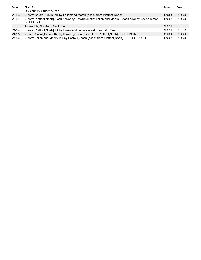| Score | Plays: Set 1                                                                                                                       | Serve | Point |
|-------|------------------------------------------------------------------------------------------------------------------------------------|-------|-------|
|       | USC sub in: Stuard, Austin.                                                                                                        |       |       |
| 23-23 | [Serve: Stuard, Austin] Kill by Lallemand, Martin (assist from Platfoot, Noah).                                                    | S:USC | P:OSU |
| 23-24 | [Serve: Platfoot, Noah] Block Assist by Howard, Justin; Lallemand, Martin (Attack error by Gallas, Simon). -- S: OSU<br>SET POINT. |       | P:OSU |
|       | Timeout by Southern California.                                                                                                    | S:OSU |       |
| 24-24 | [Serve: Platfoot, Noah] Kill by Frassrand, Lucas (assist from Hall, Chris).                                                        | S:OSU | P:USC |
| 24-25 | [Serve: Gallas, Simon] Kill by Howard, Justin (assist from Platfoot, Noah). -- SET POINT.                                          | S:USC | P:OSU |
| 24-26 | [Serve: Lallemand, Martin] Kill by Pasteur, Jacob (assist from Platfoot, Noah). -- SET OHIO ST                                     | S:OSU | P:OSU |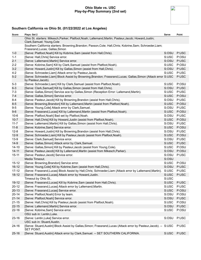#### **Ohio State vs. USC Play-by-Play Summary (2nd set)**



| Score     | Plays: Set 2                                                                                                                                  | Serve | Point |
|-----------|-----------------------------------------------------------------------------------------------------------------------------------------------|-------|-------|
|           | Ohio St. starters: Mikesch, Parker; Platfoot, Noah; Lallemand, Martin; Pasteur, Jacob; Howard, Justin;<br>Clark, Samuel; Young, Cole          |       |       |
|           | Southern California starters: Browning, Brandon; Paxson, Cole; Hall, Chris; Kobrine, Sam; Schroeder, Liam;<br>Frassrand, Lucas; Gallas, Simon |       |       |
| $1 - 0$   | [Serve: Platfoot, Noah] Kill by Kobrine, Sam (assist from Hall, Chris).                                                                       | S:OSU | P:USC |
| $1 - 1$   | [Serve: Hall, Chris] Service error.                                                                                                           | S:USC | P:OSU |
| $2 - 1$   | [Serve: Lallemand, Martin] Service error.                                                                                                     | S:OSU | P:USC |
| $2 - 2$   | [Serve: Kobrine, Sam] Kill by Clark, Samuel (assist from Platfoot, Noah).                                                                     | S:USC | P:OSU |
| $3-2$     | [Serve: Howard, Justin] Kill by Gallas, Simon (assist from Hall, Chris).                                                                      | S:OSU | P:USC |
| $4 - 2$   | [Serve: Schroeder, Liam] Attack error by Pasteur, Jacob.                                                                                      | S:USC | P:USC |
| $5-2$     | [Serve: Schroeder, Liam] Block Assist by Browning, Brandon; Frassrand, Lucas; Gallas, Simon (Attack error S:USC<br>by Pasteur, Jacob).        |       | P:USC |
| $5-3$     | [Serve: Schroeder, Liam] Kill by Clark, Samuel (assist from Platfoot, Noah).                                                                  | S:USC | P:OSU |
| $6 - 3$   | [Serve: Clark, Samuel] Kill by Gallas, Simon (assist from Hall, Chris).                                                                       | S:OSU | P:USC |
| $7 - 3$   | [Serve: Gallas, Simon] Service ace by Gallas, Simon (Reception Error: Lallemand, Martin).                                                     | S:USC | P:USC |
| $7 - 4$   | [Serve: Gallas, Simon] Service error.                                                                                                         | S:USC | P:OSU |
| $8 - 4$   | [Serve: Pasteur, Jacob] Kill by Browning, Brandon (assist from Hall, Chris).                                                                  | S:OSU | P:USC |
| $8-5$     | [Serve: Browning, Brandon] Kill by Lallemand, Martin (assist from Platfoot, Noah).                                                            | S:USC | P:OSU |
| $9-5$     | [Serve: Young, Cole] Attack error by Clark, Samuel.                                                                                           | S:OSU | P:USC |
| $9-6$     | [Serve: Frassrand, Lucas] Kill by Lallemand, Martin (assist from Platfoot, Noah).                                                             | S:USC | P:OSU |
| $10-6$    | [Serve: Platfoot, Noah] Bad set by Platfoot, Noah.                                                                                            | S:OSU | P:USC |
| $10 - 7$  | [Serve: Hall, Chris] Kill by Howard, Justin (assist from Platfoot, Noah).                                                                     | S:USC | P:OSU |
| $11 - 7$  | [Serve: Lallemand, Martin] Kill by Gallas, Simon (assist from Hall, Chris).                                                                   | S:OSU | P:USC |
| $11 - 8$  | [Serve: Kobrine, Sam] Service error.                                                                                                          | S:USC | P:OSU |
| $12 - 8$  | [Serve: Howard, Justin] Kill by Browning, Brandon (assist from Hall, Chris).                                                                  | S:OSU | P:USC |
| $12-9$    | [Serve: Schroeder, Liam] Kill by Pasteur, Jacob (assist from Platfoot, Noah).                                                                 | S:USC | P:OSU |
| $13-9$    | [Serve: Clark, Samuel] Service error.                                                                                                         | S:OSU | P:USC |
| $14-9$    | [Serve: Gallas, Simon] Attack error by Clark, Samuel.                                                                                         | S:USC | P:USC |
| $14 - 10$ | [Serve: Gallas, Simon] Kill by Pasteur, Jacob (assist from Young, Cole).                                                                      | S:USC | P:OSU |
| $14 - 11$ | [Serve: Pasteur, Jacob] Kill by Lallemand, Martin (assist from Mikesch, Parker).                                                              | S:OSU | P:OSU |
| $15 - 11$ | [Serve: Pasteur, Jacob] Service error.                                                                                                        | S:OSU | P:USC |
|           | Media Timeout.                                                                                                                                | S:OSU |       |
| $15 - 12$ | [Serve: Browning, Brandon] Service error.                                                                                                     | S:USC | P:OSU |
| $16 - 12$ | [Serve: Young, Cole] Kill by Kobrine, Sam (assist from Hall, Chris).                                                                          | S:OSU | P:USC |
| $17 - 12$ | [Serve: Frassrand, Lucas] Block Assist by Hall, Chris; Schroeder, Liam (Attack error by Lallemand, Martin).                                   | S:USC | P:USC |
| $18 - 12$ | [Serve: Frassrand, Lucas] Attack error by Howard, Justin.                                                                                     | S:USC | P:USC |
|           | Timeout by Ohio St                                                                                                                            | S:USC |       |
| 19-12     | [Serve: Frassrand, Lucas] Kill by Kobrine, Sam (assist from Hall, Chris).                                                                     | S:USC | P:USC |
| $20 - 12$ | [Serve: Frassrand, Lucas] Attack error by Lallemand, Martin.                                                                                  | S:USC | P:USC |
| $20 - 13$ | [Serve: Frassrand, Lucas] Service error.                                                                                                      | S:USC | P:OSU |
| $20 - 14$ | [Serve: Platfoot, Noah] Error by team.                                                                                                        | S:OSU | P:OSU |
| $21 - 14$ | [Serve: Platfoot, Noah] Service error.                                                                                                        | S:OSU | P:USC |
| $21 - 15$ | [Serve: Hall, Chris] Kill by Pasteur, Jacob (assist from Platfoot, Noah).                                                                     | S:USC | P:OSU |
| $22 - 15$ | [Serve: Lallemand, Martin] Service error.                                                                                                     | S:OSU | P:USC |
| $22 - 16$ | [Serve: Kobrine, Sam] Service error.                                                                                                          | S:USC | P:OSU |
|           | OSU sub in: Lentin, Luke.                                                                                                                     |       |       |
| $23 - 16$ | [Serve: Lentin, Luke] Service error.                                                                                                          | S:OSU | P:USC |
|           | USC sub in: Stuard, Austin.                                                                                                                   |       |       |
| 24-16     | [Serve: Stuard, Austin] Block Assist by Gallas, Simon; Frassrand, Lucas (Attack error by Pasteur, Jacob). -- S:USC<br>SET POINT.              |       | P:USC |
| $25 - 16$ | [Serve: Stuard, Austin] Attack error by Clark, Samuel. -- SET SOUTHERN CALIFORNIA.                                                            | S:USC | P:USC |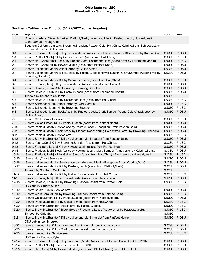#### **Ohio State vs. USC Play-by-Play Summary (3rd set)**



| Score     | Plays: Set 3                                                                                                                                  | Serve                | Point |
|-----------|-----------------------------------------------------------------------------------------------------------------------------------------------|----------------------|-------|
|           | Ohio St. starters: Mikesch, Parker; Platfoot, Noah; Lallemand, Martin; Pasteur, Jacob; Howard, Justin;<br>Clark, Samuel; Young, Cole          |                      |       |
|           | Southern California starters: Browning, Brandon; Paxson, Cole; Hall, Chris; Kobrine, Sam; Schroeder, Liam;<br>Frassrand, Lucas; Gallas, Simon |                      |       |
| $0 - 1$   | [Serve: Frassrand, Lucas] Kill by Pasteur, Jacob (assist from Platfoot, Noah) - Block error by Kobrine, Sam. S: USC                           |                      | P:OSU |
| $1 - 1$   | [Serve: Platfoot, Noah] Kill by Schroeder, Liam (assist from Hall, Chris).                                                                    | S:OSU                | P:USC |
| $2 - 1$   | [Serve: Hall, Chris] Block Assist by Kobrine, Sam; Schroeder, Liam (Attack error by Lallemand, Martin).                                       | S:USC                | P:USC |
| $2 - 2$   | [Serve: Hall, Chris] Kill by Howard, Justin (assist from Platfoot, Noah).                                                                     | S:USC                | P:OSU |
| $2 - 3$   | [Serve: Lallemand, Martin] Attack error by Gallas, Simon.                                                                                     | S:OSU                | P:OSU |
| $2 - 4$   | [Serve: Lallemand, Martin] Block Assist by Pasteur, Jacob; Howard, Justin; Clark, Samuel (Attack error by<br>Browning, Brandon).              | S:OSU                | P:OSU |
| $3-4$     | [Serve: Lallemand, Martin] Kill by Schroeder, Liam (assist from Hall, Chris).                                                                 | S:OSU                | P:USC |
| $3-5$     | [Serve: Kobrine, Sam] Kill by Pasteur, Jacob (assist from Mikesch, Parker).                                                                   | S:USC                | P:OSU |
| $3-6$     | [Serve: Howard, Justin] Attack error by Browning, Brandon.                                                                                    | S:OSU                | P:OSU |
| $3 - 7$   | [Serve: Howard, Justin] Kill by Pasteur, Jacob (assist from Lallemand, Martin).                                                               | S:OSU                | P:OSU |
|           | Timeout by Southern California.                                                                                                               | S:OSU                |       |
| $4 - 7$   | [Serve: Howard, Justin] Kill by Schroeder, Liam (assist from Hall, Chris).                                                                    | S:OSU                | P:USC |
| $5-7$     | [Serve: Schroeder, Liam] Attack error by Clark, Samuel.                                                                                       | S:USC                | P:USC |
| $6 - 7$   | [Serve: Schroeder, Liam] Kill by Browning, Brandon.                                                                                           | S:USC                | P:USC |
| $6 - 8$   | [Serve: Schroeder,Liam] Block Assist by Pasteur,Jacob; Clark,Samuel; Young,Cole (Attack error by<br>Gallas, Simon).                           | S:USC                | P:OSU |
| 7-8       | [Serve: Clark, Samuel] Service error.                                                                                                         | S:OSU                | P:USC |
| $7-9$     | [Serve: Gallas, Simon] Kill by Pasteur, Jacob (assist from Platfoot, Noah).                                                                   | S:USC                | P:OSU |
| $7 - 10$  | [Serve: Pasteur, Jacob] Service ace by Pasteur, Jacob (Reception Error: Paxson, Cole).                                                        | S:OSU                | P:OSU |
| $7 - 11$  | [Serve: Pasteur, Jacob] Block Assist by Platfoot, Noah; Young, Cole (Attack error by Browning, Brandon).                                      | S:OSU                | P:OSU |
| $8 - 11$  | [Serve: Pasteur, Jacob] Service error.                                                                                                        | S:OSU                | P:USC |
| $8 - 12$  | [Serve: Browning, Brandon] Kill by Lallemand, Martin (assist from Pasteur, Jacob).                                                            | S:USC                | P:OSU |
| $9 - 12$  | [Serve: Young, Cole] Kill by Browning, Brandon (assist from Hall, Chris).                                                                     | S:OSU                | P:USC |
| $9 - 13$  | [Serve: Frassrand, Lucas] Kill by Howard, Justin (assist from Platfoot, Noah).                                                                | S:USC                | P:OSU |
| $9 - 14$  | [Serve: Platfoot, Noah] Block Assist by Howard, Justin; Clark, Samuel (Attack error by Kobrine, Sam).                                         | S:OSU                | P:OSU |
| $10 - 14$ | [Serve: Platfoot, Noah] Kill by Gallas, Simon (assist from Hall, Chris) - Block error by Howard, Justin.                                      | S:OSU                | P:USC |
| $10 - 15$ | [Serve: Hall, Chris] Service error.                                                                                                           | S:USC                | P:OSU |
| $10 - 16$ | [Serve: Lallemand, Martin] Service ace by Lallemand, Martin (Reception Error: Kobrine, Sam).                                                  | S:OSU                | P:OSU |
| $10 - 17$ | [Serve: Lallemand, Martin] Kill by Pasteur, Jacob (assist from Platfoot, Noah).                                                               | S:OSU                | P:OSU |
|           | Timeout by Southern California.                                                                                                               | S:OSU                |       |
| $11 - 17$ | [Serve: Lallemand, Martin] Kill by Gallas, Simon (assist from Hall, Chris).                                                                   | S:OSU                | P:USC |
| $11 - 18$ | [Serve: Kobrine, Sam] Kill by Howard, Justin (assist from Platfoot, Noah).                                                                    | S:USC<br>S:OSU P:USC | P:OSU |
| $12 - 18$ | [Serve: Howard, Justin] Kill by Browning, Brandon (assist from Paxson, Cole).<br>USC sub in: Stuard, Austin.                                  |                      |       |
| $12 - 19$ | [Serve: Stuard, Austin] Service error.                                                                                                        | S:USC                | P:OSU |
| 13-19     | [Serve: Clark, Samuel] Kill by Browning, Brandon (assist from Kobrine, Sam).                                                                  | S:OSU                | P:USC |
| 13-20     | [Serve: Gallas, Simon] Kill by Pasteur, Jacob (assist from Platfoot, Noah).                                                                   | S:USC                | P:OSU |
| $14 - 20$ | [Serve: Pasteur, Jacob] Kill by Gallas, Simon (assist from Hall, Chris).                                                                      | S:OSU                | P:USC |
| 15-20     | [Serve: Browning, Brandon] Attack error by Pasteur, Jacob.                                                                                    | S:USC                | P:USC |
| 16-20     | [Serve: Browning, Brandon] Block Solo by Frassrand, Lucas (Attack error by Pasteur, Jacob).                                                   | S:USC                | P:USC |
|           | Timeout by Ohio St                                                                                                                            | S:USC                |       |
| $16 - 21$ | [Serve: Browning, Brandon] Kill by Lallemand, Martin (assist from Platfoot, Noah).                                                            | S:USC                | P:OSU |
|           | OSU sub in: Lentin, Luke.                                                                                                                     |                      |       |
| 16-22     | [Serve: Lentin, Luke] Kill by Lallemand, Martin (assist from Platfoot, Noah).                                                                 | S:OSU                | P:OSU |
| 16-23     | [Serve: Lentin, Luke] Kill by Clark, Samuel (assist from Platfoot, Noah).                                                                     | S:OSU                | P:OSU |
| 17-23     | [Serve: Lentin, Luke] Service error.                                                                                                          | S:OSU                | P:USC |
|           | USC sub in: Paulson, Kyle.                                                                                                                    |                      |       |
| $17 - 24$ | [Serve: Frassrand, Lucas] Kill by Lallemand, Martin (assist from Mikesch, Parker). -- SET POINT.                                              | S:USC                | P:OSU |
| 18-24     | [Serve: Platfoot, Noah] Service error. -- SET POINT.                                                                                          | S:OSU                | P:USC |
| 18-25     | [Serve: Hall, Chris] Kill by Howard, Justin (assist from Platfoot, Noah). -- SET OHIO ST                                                      | S:USC                | P:OSU |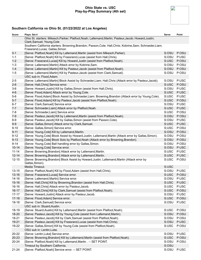#### **Ohio State vs. USC Play-by-Play Summary (4th set)**



| Score     | Plays: Set 4                                                                                                                                  | Serve       | Point |
|-----------|-----------------------------------------------------------------------------------------------------------------------------------------------|-------------|-------|
|           | Ohio St. starters: Mikesch, Parker; Platfoot, Noah; Lallemand, Martin; Pasteur, Jacob; Howard, Justin;<br>Clark, Samuel; Young, Cole          |             |       |
|           | Southern California starters: Browning, Brandon; Paxson, Cole; Hall, Chris; Kobrine, Sam; Schroeder, Liam;<br>Frassrand, Lucas; Gallas, Simon |             |       |
| $0 - 1$   | [Serve: Platfoot, Noah] Kill by Lallemand, Martin (assist from Mikesch, Parker).                                                              | S:OSU       | P:OSU |
| $1 - 1$   | [Serve: Platfoot, Noah] Kill by Frassrand, Lucas (assist from Hall, Chris).                                                                   | S:OSU       | P:USC |
| $1 - 2$   | [Serve: Frassrand, Lucas] Kill by Howard, Justin (assist from Platfoot, Noah).                                                                | S:USC       | P:OSU |
| $1 - 3$   | [Serve: Lallemand, Martin] Attack error by Kobrine, Sam.                                                                                      | S:OSU       | P:OSU |
| $1 - 4$   | [Serve: Lallemand, Martin] Kill by Pasteur, Jacob (assist from Platfoot, Noah).                                                               | S:OSU       | P:OSU |
| $1 - 5$   | [Serve: Lallemand, Martin] Kill by Pasteur, Jacob (assist from Clark, Samuel).                                                                | S:OSU P:OSU |       |
|           | USC sub in: Flood, Adam.                                                                                                                      |             |       |
| $2 - 5$   | [Serve: Lallemand, Martin] Block Assist by Schroeder, Liam; Hall, Chris (Attack error by Pasteur, Jacob).                                     | S:OSU       | P:USC |
| $2 - 6$   | [Serve: Hall, Chris] Service error.                                                                                                           | S:USC       | P:OSU |
| $3-6$     | [Serve: Howard, Justin] Kill by Gallas, Simon (assist from Hall, Chris).                                                                      | S:OSU       | P:USC |
| $4 - 6$   | [Serve: Flood, Adam] Attack error by Young, Cole.                                                                                             | S:USC       | P:USC |
| $5-6$     | [Serve: Flood, Adam] Block Assist by Schroeder, Liam; Browning, Brandon (Attack error by Young, Cole).                                        | S:USC       | P:USC |
| $5-7$     | [Serve: Flood, Adam] Kill by Pasteur, Jacob (assist from Platfoot, Noah).                                                                     | S:USC       | P:OSU |
| $6 - 7$   | [Serve: Clark, Samuel] Service error.                                                                                                         | S:OSU       | P:USC |
| $7 - 7$   | [Serve: Schroeder, Liam] Attack error by Platfoot, Noah.                                                                                      | S:USC       | P:USC |
| $7 - 8$   | [Serve: Schroeder, Liam] Service error.                                                                                                       | S:USC       | P:OSU |
| $7-9$     | [Serve: Pasteur, Jacob] Kill by Lallemand, Martin (assist from Platfoot, Noah).                                                               | S:OSU       | P:OSU |
| $8-9$     | [Serve: Pasteur, Jacob] Kill by Gallas, Simon (assist from Paxson, Cole).                                                                     | S:OSU       | P:USC |
| $9-9$     | [Serve: Gallas, Simon] Attack error by Clark, Samuel.                                                                                         | S:USC       | P:USC |
| $9 - 10$  | [Serve: Gallas, Simon] Service error.                                                                                                         | S:USC       | P:OSU |
| $9 - 11$  | [Serve: Young, Cole] Kill by Lallemand, Martin.                                                                                               | S:OSU       | P:OSU |
| $9 - 12$  | [Serve: Young, Cole] Block Assist by Howard, Justin; Lallemand, Martin (Attack error by Gallas, Simon).                                       | S:OSU       | P:OSU |
| $9 - 13$  | [Serve: Young, Cole] Block Solo by Platfoot, Noah (Attack error by Browning, Brandon).                                                        | S:OSU       | P:OSU |
| $9 - 14$  | [Serve: Young, Cole] Ball handling error by Gallas, Simon.                                                                                    | S:OSU       | P:OSU |
| $10 - 14$ | [Serve: Young, Cole] Service error.                                                                                                           | S:OSU       | P:USC |
| $11 - 14$ | [Serve: Browning, Brandon] Attack error by Lallemand, Martin.                                                                                 | S:USC       | P:USC |
| $12 - 14$ | [Serve: Browning, Brandon] Attack error by Lallemand, Martin.                                                                                 | S:USC       | P:USC |
| $12 - 15$ | [Serve: Browning, Brandon] Block Assist by Howard, Justin; Lallemand, Martin (Attack error by<br>Gallas, Simon).                              | S:USC       | P:OSU |
|           | Media Timeout.                                                                                                                                | S:USC       |       |
| $13 - 15$ | [Serve: Platfoot, Noah] Kill by Flood, Adam (assist from Hall, Chris).                                                                        | S:OSU       | P:USC |
| $13 - 16$ | [Serve: Frassrand, Lucas] Service error.                                                                                                      | S:USC       | P:OSU |
| 14-16     | [Serve: Lallemand, Martin] Service error.                                                                                                     | S:OSU       | P:USC |
| $15 - 16$ | [Serve: Hall, Chris] Kill by Browning, Brandon (assist from Hall, Chris).                                                                     | S:USC       | P:USC |
| $16 - 16$ | [Serve: Hall, Chris] Attack error by Pasteur, Jacob.                                                                                          | S:USC       | P:USC |
| $16 - 17$ | [Serve: Hall, Chris] Kill by Clark, Samuel (assist from Platfoot, Noah).                                                                      | S:USC       | P:OSU |
| $17 - 17$ | [Serve: Howard, Justin] Attack error by Pasteur, Jacob.                                                                                       | S:OSU       | P:USC |
| $17 - 18$ | [Serve: Flood, Adam] Service error.                                                                                                           | S:USC       | P:OSU |
| 18-18     | [Serve: Clark, Samuel] Service error.                                                                                                         | S:OSU       | P:USC |
|           | USC sub in: Stuard, Austin.                                                                                                                   |             |       |
| 18-19     | [Serve: Stuard, Austin] Kill by Lallemand, Martin (assist from Platfoot, Noah).                                                               | S:USC       | P:OSU |
| 18-20     | [Serve: Pasteur, Jacob] Kill by Young, Cole (assist from Lallemand, Martin).                                                                  | S:OSU       | P:OSU |
| 18-21     | [Serve: Pasteur, Jacob] Kill by Clark, Samuel (assist from Platfoot, Noah).                                                                   | S:OSU       | P:OSU |
| 19-21     | [Serve: Pasteur, Jacob] Kill by Frassrand, Lucas (assist from Hall, Chris).                                                                   | S:OSU       | P:USC |
| 19-22     | [Serve: Gallas, Simon] Kill by Young, Cole (assist from Platfoot, Noah).                                                                      | S:USC       | P:OSU |
|           | OSU sub in: Lentin, Luke.                                                                                                                     |             |       |
| 20-22     | [Serve: Lentin, Luke] Service error.                                                                                                          | S:OSU       | P:USC |
| 20-23     | [Serve: Browning, Brandon] Kill by Lallemand, Martin (assist from Platfoot, Noah).                                                            | S:USC       | P:OSU |
| 20-24     | [Serve: Platfoot, Noah] Kill by Lallemand, Martin . -- SET POINT.                                                                             | S:OSU       | P:OSU |
|           | Timeout by Southern California.                                                                                                               | S:OSU       |       |
| $21 - 24$ | [Serve: Platfoot, Noah] Service error. -- SET POINT.                                                                                          | S:OSU       | P:USC |
|           |                                                                                                                                               |             |       |